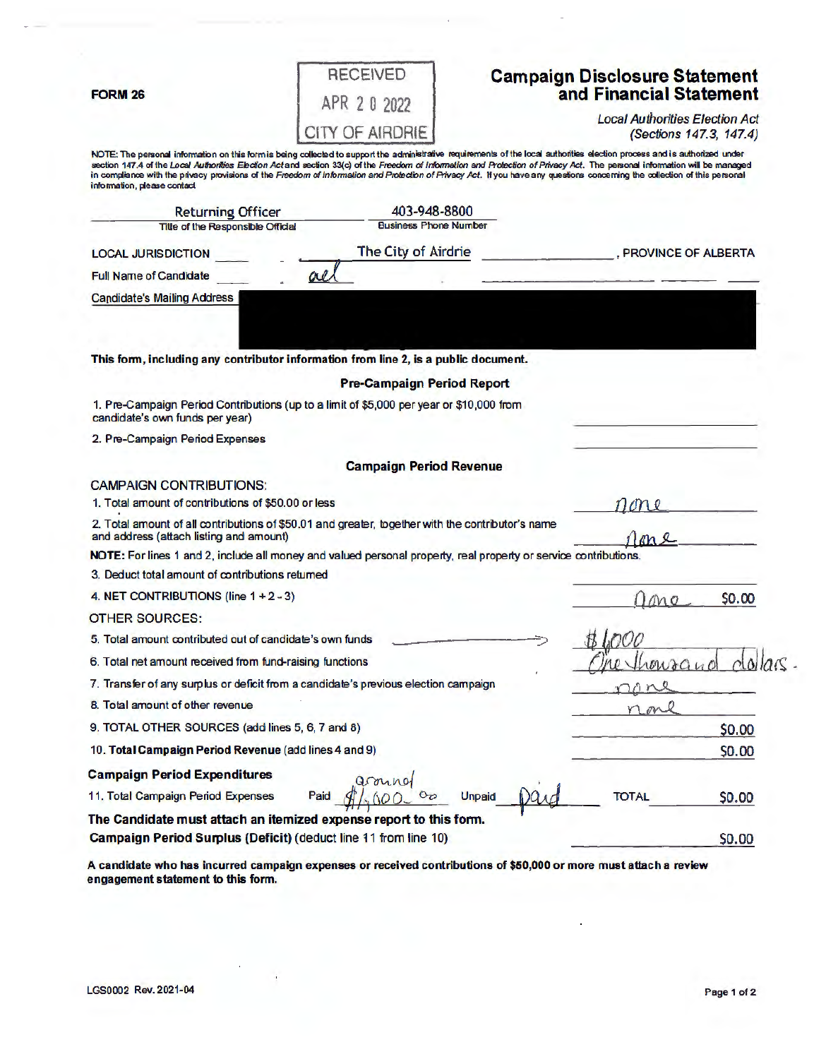**FORM 26** 

|              |  | <b>RECEIVED</b> |  |
|--------------|--|-----------------|--|
| APR 2 0 2022 |  |                 |  |
|              |  | CITY OF AIRDRIE |  |

## **Campaign Disclosure Statement and Financial Statement**

Local Authorities Election Act (Sections 147.3, 147.4)

NOTE: The personal information on this form is being collected to support the administrative requirements of the local authorities election process and is authorized under section 147.4 of the Lo*cal Authorities Election Act* and section 33(c) of the Freedom of Information and Protection of Privacy Act. The personal information will be managed<br>In compliance with the privacy provisions of the informaion, please contact

|                                                                                                                                              | <b>Returning Officer</b>                                           | 403-948-8800                                                                                                     |                     |        |
|----------------------------------------------------------------------------------------------------------------------------------------------|--------------------------------------------------------------------|------------------------------------------------------------------------------------------------------------------|---------------------|--------|
|                                                                                                                                              | <b>Title of the Responsible Official</b>                           | <b>Business Phone Number</b>                                                                                     |                     |        |
| <b>LOCAL JURISDICTION</b>                                                                                                                    |                                                                    | The City of Airdrie                                                                                              | PROVINCE OF ALBERTA |        |
| <b>Full Name of Candidate</b>                                                                                                                | ove.                                                               |                                                                                                                  |                     |        |
| <b>Candidate's Mailing Address</b>                                                                                                           |                                                                    |                                                                                                                  |                     |        |
|                                                                                                                                              |                                                                    |                                                                                                                  |                     |        |
|                                                                                                                                              |                                                                    | This form, including any contributor information from line 2, is a public document.                              |                     |        |
|                                                                                                                                              |                                                                    | <b>Pre-Campaign Period Report</b>                                                                                |                     |        |
| candidate's own funds per year)                                                                                                              |                                                                    | 1. Pre-Campaign Period Contributions (up to a limit of \$5,000 per year or \$10,000 from                         |                     |        |
| 2. Pre-Campaign Period Expenses                                                                                                              |                                                                    |                                                                                                                  |                     |        |
|                                                                                                                                              |                                                                    | <b>Campaign Period Revenue</b>                                                                                   |                     |        |
| <b>CAMPAIGN CONTRIBUTIONS:</b>                                                                                                               |                                                                    |                                                                                                                  |                     |        |
| 1. Total amount of contributions of \$50.00 or less                                                                                          |                                                                    |                                                                                                                  |                     |        |
| 2. Total amount of all contributions of \$50.01 and greater, together with the contributor's name<br>and address (attach listing and amount) |                                                                    |                                                                                                                  |                     |        |
|                                                                                                                                              |                                                                    | NOTE: For lines 1 and 2, include all money and valued personal property, real property or service contributions. |                     |        |
| 3. Deduct total amount of contributions returned                                                                                             |                                                                    |                                                                                                                  |                     |        |
| 4. NET CONTRIBUTIONS (line $1 + 2 - 3$ )                                                                                                     |                                                                    |                                                                                                                  | MO                  | \$0.00 |
| <b>OTHER SOURCES:</b>                                                                                                                        |                                                                    |                                                                                                                  |                     |        |
|                                                                                                                                              | 5. Total amount contributed out of candidate's own funds           |                                                                                                                  |                     |        |
| 6. Total net amount received from fund-raising functions                                                                                     | waand                                                              |                                                                                                                  |                     |        |
| 7. Transfer of any surplus or deficit from a candidate's previous election campaign                                                          |                                                                    |                                                                                                                  |                     |        |
| 8. Total amount of other revenue                                                                                                             |                                                                    |                                                                                                                  |                     |        |
| 9. TOTAL OTHER SOURCES (add lines 5, 6, 7 and 8)                                                                                             |                                                                    | \$0.00                                                                                                           |                     |        |
|                                                                                                                                              | 10. Total Campaign Period Revenue (add lines 4 and 9)              |                                                                                                                  |                     | \$0.00 |
| <b>Campaign Period Expenditures</b>                                                                                                          |                                                                    |                                                                                                                  |                     |        |
| 11. Total Campaign Period Expenses                                                                                                           | Paid                                                               | <b>Unpaid</b>                                                                                                    | TOTAL               | \$0.00 |
|                                                                                                                                              | The Candidate must attach an itemized expense report to this form. |                                                                                                                  |                     |        |
|                                                                                                                                              | Campaign Period Surplus (Deficit) (deduct line 11 from line 10)    |                                                                                                                  |                     | \$0.00 |

**A candidate who has incurred campaign expenses or received contributions of \$50,000 or more must attach a review engagement statement to this form.**